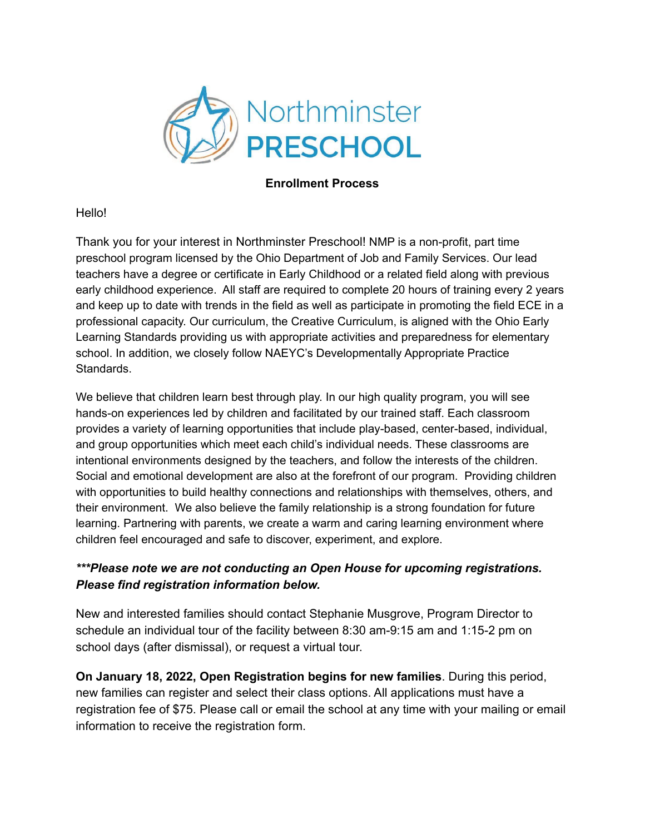

#### **Enrollment Process**

Hello!

Thank you for your interest in Northminster Preschool! NMP is a non-profit, part time preschool program licensed by the Ohio Department of Job and Family Services. Our lead teachers have a degree or certificate in Early Childhood or a related field along with previous early childhood experience. All staff are required to complete 20 hours of training every 2 years and keep up to date with trends in the field as well as participate in promoting the field ECE in a professional capacity. Our curriculum, the Creative Curriculum, is aligned with the Ohio Early Learning Standards providing us with appropriate activities and preparedness for elementary school. In addition, we closely follow NAEYC's Developmentally Appropriate Practice Standards.

We believe that children learn best through play. In our high quality program, you will see hands-on experiences led by children and facilitated by our trained staff. Each classroom provides a variety of learning opportunities that include play-based, center-based, individual, and group opportunities which meet each child's individual needs. These classrooms are intentional environments designed by the teachers, and follow the interests of the children. Social and emotional development are also at the forefront of our program. Providing children with opportunities to build healthy connections and relationships with themselves, others, and their environment. We also believe the family relationship is a strong foundation for future learning. Partnering with parents, we create a warm and caring learning environment where children feel encouraged and safe to discover, experiment, and explore.

## *\*\*\*Please note we are not conducting an Open House for upcoming registrations. Please find registration information below.*

New and interested families should contact Stephanie Musgrove, Program Director to schedule an individual tour of the facility between 8:30 am-9:15 am and 1:15-2 pm on school days (after dismissal), or request a virtual tour.

**On January 18, 2022, Open Registration begins for new families**. During this period, new families can register and select their class options. All applications must have a registration fee of \$75. Please call or email the school at any time with your mailing or email information to receive the registration form.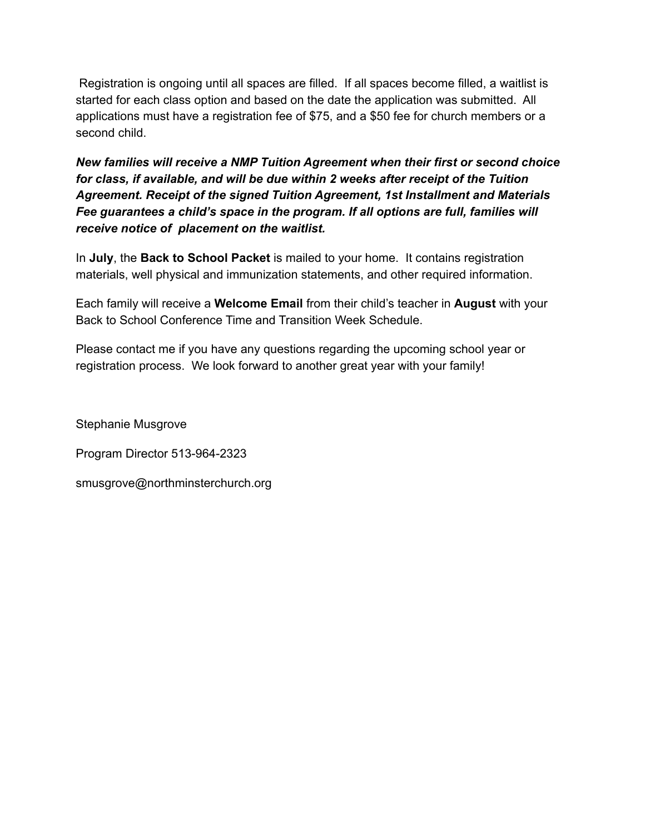Registration is ongoing until all spaces are filled. If all spaces become filled, a waitlist is started for each class option and based on the date the application was submitted. All applications must have a registration fee of \$75, and a \$50 fee for church members or a second child.

*New families will receive a NMP Tuition Agreement when their first or second choice for class, if available, and will be due within 2 weeks after receipt of the Tuition Agreement. Receipt of the signed Tuition Agreement, 1st Installment and Materials Fee guarantees a child's space in the program. If all options are full, families will receive notice of placement on the waitlist.*

In **July**, the **Back to School Packet** is mailed to your home. It contains registration materials, well physical and immunization statements, and other required information.

Each family will receive a **Welcome Email** from their child's teacher in **August** with your Back to School Conference Time and Transition Week Schedule.

Please contact me if you have any questions regarding the upcoming school year or registration process. We look forward to another great year with your family!

Stephanie Musgrove

Program Director 513-964-2323

smusgrove@northminsterchurch.org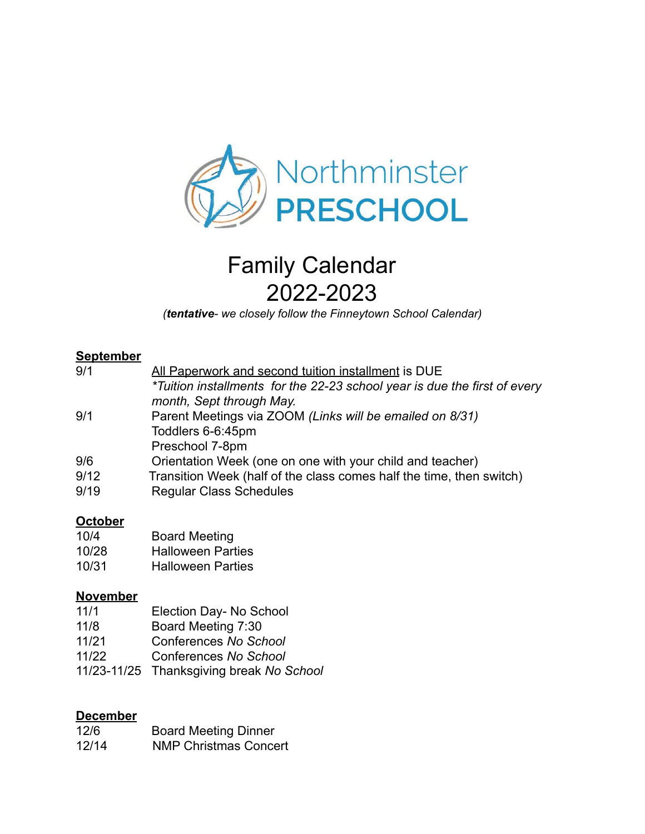

# Family Calendar 2022-2023

*(tentative- we closely follow the Finneytown School Calendar)*

## **September**

| 9/1  | All Paperwork and second tuition installment is DUE                       |
|------|---------------------------------------------------------------------------|
|      | *Tuition installments for the 22-23 school year is due the first of every |
|      | month, Sept through May.                                                  |
| 9/1  | Parent Meetings via ZOOM (Links will be emailed on 8/31)                  |
|      | Toddlers 6-6:45pm                                                         |
|      | Preschool 7-8pm                                                           |
| 9/6  | Orientation Week (one on one with your child and teacher)                 |
| 9/12 | Transition Week (half of the class comes half the time, then switch)      |
| 9/19 | <b>Regular Class Schedules</b>                                            |
|      |                                                                           |

#### **October**

| 10/4  | <b>Board Meeting</b>     |
|-------|--------------------------|
| 10/28 | <b>Halloween Parties</b> |
| 10/31 | <b>Halloween Parties</b> |

### **November**

- 11/1 Election Day- No School
- 11/8 Board Meeting 7:30
- 11/21 Conferences *No School*
- 11/22 Conferences *No School*
- 11/23-11/25 Thanksgiving break *No School*

#### **December**

| 12/6  | <b>Board Meeting Dinner</b>  |
|-------|------------------------------|
| 12/14 | <b>NMP Christmas Concert</b> |